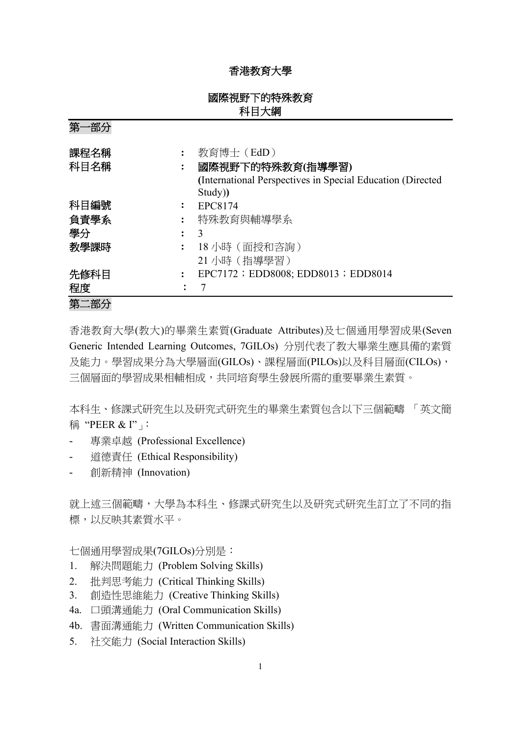## 香港教育大學

# 國際視野下的特殊教育 科目大綱

第一部分 課程名稱 **:** 教育博士(EdD) 科目名稱 **:** 國際視野下的特殊教育**(**指導學習**) (**International Perspectives in Special Education (Directed Study)**)** 科目編號 **:** EPC8174 負責學系 **:** 特殊教育與輔導學系 學分 **:** 3 教學課時 **:** 18 小時(面授和咨詢) 21 小時(指導學習) 先修科目 **:** EPC7172;EDD8008; EDD8013;EDD8014 程度: 7 第二部分

香港教育大學(教大)的畢業生素質(Graduate Attributes)及七個通用學習成果(Seven Generic Intended Learning Outcomes, 7GILOs) 分別代表了教大畢業生應具備的素質 及能力。學習成果分為大學層面(GILOs)、課程層面(PILOs)以及科目層面(CILOs), 三個層面的學習成果相輔相成,共同培育學生發展所需的重要畢業生素質。

本科生、修課式研究生以及研究式研究生的畢業生素質包含以下三個範疇 「英文簡 稱 "PEER & I"」:

- 專業卓越 (Professional Excellence)
- 道德責任 (Ethical Responsibility)
- 創新精神 (Innovation)

就上述三個範疇,大學為本科生、修課式研究生以及研究式研究生訂立了不同的指 標,以反映其素質水平。

七個通用學習成果(7GILOs)分別是:

- 1. 解決問題能力 (Problem Solving Skills)
- 2. 批判思考能力 (Critical Thinking Skills)
- 3. 創造性思維能力 (Creative Thinking Skills)
- 4a. 口頭溝通能力 (Oral Communication Skills)
- 4b. 書面溝通能力 (Written Communication Skills)
- 5. 社交能力 (Social Interaction Skills)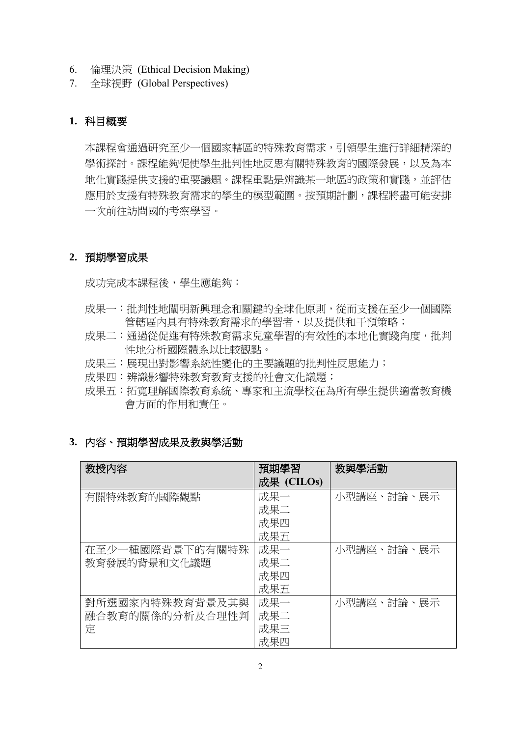- 6. 倫理決策 (Ethical Decision Making)
- 7. 全球視野 (Global Perspectives)

## **1.** 科目概要

本課程會通過研究至少一個國家轄區的特殊教育需求,引領學生進行詳細精深的 學術探討。課程能夠促使學生批判性地反思有關特殊教育的國際發展,以及為本 地化實踐提供支援的重要議題。課程重點是辨識某一地區的政策和實踐,並評估 應用於支援有特殊教育需求的學生的模型範圍。按預期計劃,課程將盡可能安排 一次前往訪問國的考察學習。

### **2.** 預期學習成果

成功完成本課程後,學生應能夠:

- 成果一:批判性地闡明新興理念和關鍵的全球化原則,從而支援在至少一個國際 管轄區內具有特殊教育需求的學習者,以及提供和干預策略;
- 成果二:通過從促進有特殊教育需求兒童學習的有效性的本地化實踐角度,批判 性地分析國際體系以比較觀點。
- 成果三:展現出對影響系統性變化的主要議題的批判性反思能力;
- 成果四:辨識影響特殊教育教育支援的社會文化議題;
- 成果五:拓寬理解國際教育系統、專家和主流學校在為所有學生提供適當教育機 會方面的作用和責任。

## **3.** 內容、預期學習成果及教與學活動

| 教授内容            | 預期學習       | 教與學活動      |
|-----------------|------------|------------|
|                 | 成果 (CILOs) |            |
| 有關特殊教育的國際觀點     | 成果一        | 小型講座、討論、展示 |
|                 | 成果二        |            |
|                 | 成果四        |            |
|                 | 成果五        |            |
| 在至少一種國際背景下的有關特殊 | 成果一        | 小型講座、討論、展示 |
| 教育發展的背景和文化議題    | 成果二        |            |
|                 | 成果四        |            |
|                 | 成果五        |            |
| 對所選國家內特殊教育背景及其與 | 成果一        | 小型講座、討論、展示 |
| 融合教育的關係的分析及合理性判 | 成果二        |            |
| 定               | 成果三        |            |
|                 | 成果四        |            |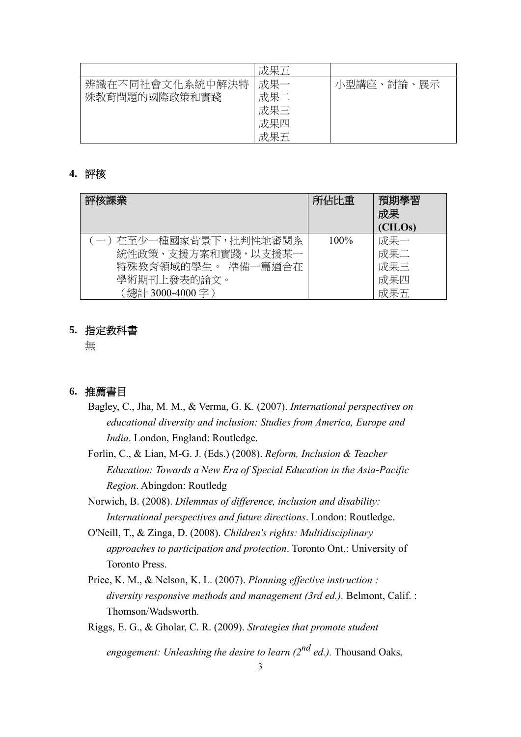|                 | 成果五 |                |
|-----------------|-----|----------------|
| 辨識在不同社會文化系統中解決特 | 成果- | 小型講座、討論、<br>展示 |
| 殊教育問題的國際政策和實踐   | 成果二 |                |
|                 | 成果三 |                |
|                 | 成果四 |                |
|                 | 成果五 |                |

### **4.** 評核

| 評核課業                  | 所佔比重    | 預期學習<br>成果<br>(CILOs) |
|-----------------------|---------|-----------------------|
| (一)在至少一種國家背景下,批判性地審閱系 | $100\%$ | 成果一                   |
| 統性政策、支援方案和實踐,以支援某一    |         | 成果二                   |
| 特殊教育領域的學生。 準備一篇適合在    |         | 成果三                   |
| 學術期刊上發表的論文。           |         | 成果四                   |
| 「總計 3000-4000 字 )     |         | 成果五                   |

#### **5.** 指定教科書

無

### **6.** 推薦書目

- Bagley, C., Jha, M. M., & Verma, G. K. (2007). *International perspectives on educational diversity and inclusion: Studies from America, Europe and India*. London, England: Routledge.
- Forlin, C., & Lian, M-G. J. (Eds.) (2008). *Reform, Inclusion & Teacher Education: Towards a New Era of Special Education in the Asia-Pacific Region*. Abingdon: Routledg
- Norwich, B. (2008). *Dilemmas of difference, inclusion and disability: International perspectives and future directions*. London: Routledge.
- O'Neill, T., & Zinga, D. (2008). *Children's rights: Multidisciplinary approaches to participation and protection*. Toronto Ont.: University of Toronto Press.
- Price, K. M., & Nelson, K. L. (2007). *Planning effective instruction : diversity responsive methods and management (3rd ed.).* Belmont, Calif. : Thomson/Wadsworth.
- Riggs, E. G., & Gholar, C. R. (2009). *Strategies that promote student*

*engagement: Unleashing the desire to learn (2nd ed.).* Thousand Oaks,